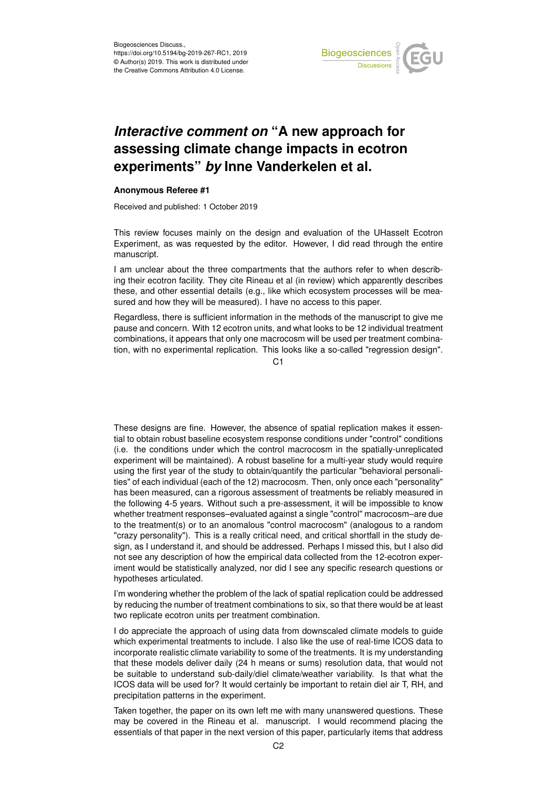

## *Interactive comment on* **"A new approach for assessing climate change impacts in ecotron experiments"** *by* **Inne Vanderkelen et al.**

## **Anonymous Referee #1**

Received and published: 1 October 2019

This review focuses mainly on the design and evaluation of the UHasselt Ecotron Experiment, as was requested by the editor. However, I did read through the entire manuscript.

I am unclear about the three compartments that the authors refer to when describing their ecotron facility. They cite Rineau et al (in review) which apparently describes these, and other essential details (e.g., like which ecosystem processes will be measured and how they will be measured). I have no access to this paper.

Regardless, there is sufficient information in the methods of the manuscript to give me pause and concern. With 12 ecotron units, and what looks to be 12 individual treatment combinations, it appears that only one macrocosm will be used per treatment combination, with no experimental replication. This looks like a so-called "regression design".

 $C<sub>1</sub>$ 

These designs are fine. However, the absence of spatial replication makes it essential to obtain robust baseline ecosystem response conditions under "control" conditions (i.e. the conditions under which the control macrocosm in the spatially-unreplicated experiment will be maintained). A robust baseline for a multi-year study would require using the first year of the study to obtain/quantify the particular "behavioral personalities" of each individual (each of the 12) macrocosm. Then, only once each "personality" has been measured, can a rigorous assessment of treatments be reliably measured in the following 4-5 years. Without such a pre-assessment, it will be impossible to know whether treatment responses–evaluated against a single "control" macrocosm–are due to the treatment(s) or to an anomalous "control macrocosm" (analogous to a random "crazy personality"). This is a really critical need, and critical shortfall in the study design, as I understand it, and should be addressed. Perhaps I missed this, but I also did not see any description of how the empirical data collected from the 12-ecotron experiment would be statistically analyzed, nor did I see any specific research questions or hypotheses articulated.

I'm wondering whether the problem of the lack of spatial replication could be addressed by reducing the number of treatment combinations to six, so that there would be at least two replicate ecotron units per treatment combination.

I do appreciate the approach of using data from downscaled climate models to guide which experimental treatments to include. I also like the use of real-time ICOS data to incorporate realistic climate variability to some of the treatments. It is my understanding that these models deliver daily (24 h means or sums) resolution data, that would not be suitable to understand sub-daily/diel climate/weather variability. Is that what the ICOS data will be used for? It would certainly be important to retain diel air T, RH, and precipitation patterns in the experiment.

Taken together, the paper on its own left me with many unanswered questions. These may be covered in the Rineau et al. manuscript. I would recommend placing the essentials of that paper in the next version of this paper, particularly items that address